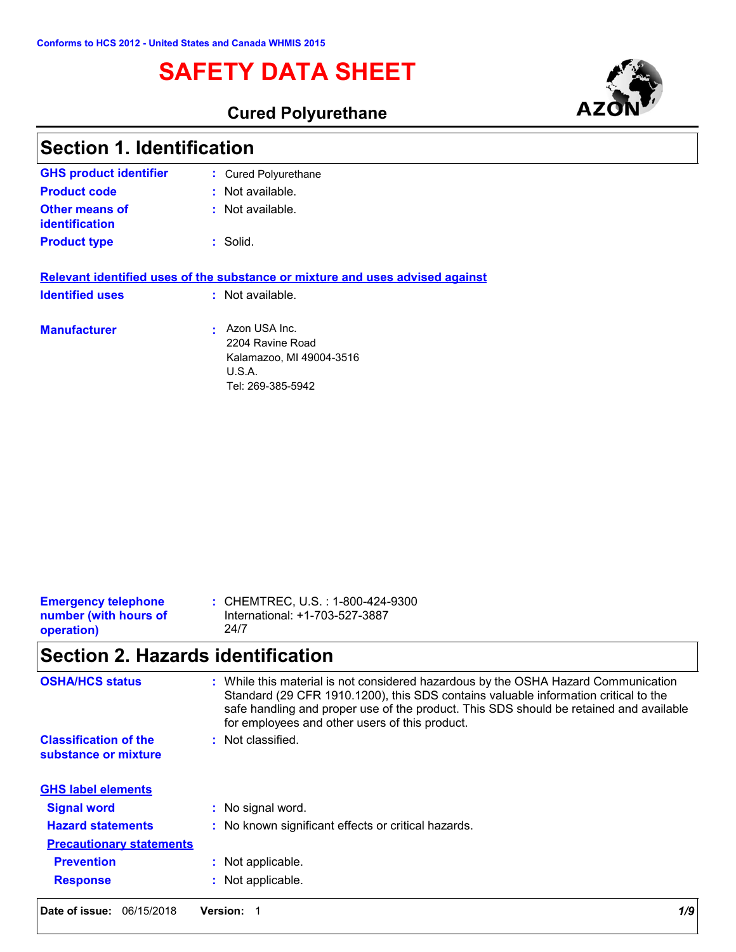# **SAFETY DATA SHEET**



## **Cured Polyurethane**

| <b>Section 1. Identification</b>        |                                                                                                       |  |
|-----------------------------------------|-------------------------------------------------------------------------------------------------------|--|
| <b>GHS product identifier</b>           | : Cured Polyurethane                                                                                  |  |
| <b>Product code</b>                     | $:$ Not available.                                                                                    |  |
| <b>Other means of</b><br>identification | : Not available.                                                                                      |  |
| <b>Product type</b>                     | : Solid.                                                                                              |  |
|                                         | Relevant identified uses of the substance or mixture and uses advised against                         |  |
| <b>Identified uses</b>                  | : Not available.                                                                                      |  |
| <b>Manufacturer</b>                     | • Azon USA Inc.<br>2204 Ravine Road<br>Kalamazoo, MI 49004-3516<br><b>U.S.A.</b><br>Tel: 269-385-5942 |  |

| : CHEMTREC, U.S. : 1-800-424-9300<br><b>Emergency telephone</b><br>International: +1-703-527-3887<br>number (with hours of<br>24/7<br>operation) |
|--------------------------------------------------------------------------------------------------------------------------------------------------|
|--------------------------------------------------------------------------------------------------------------------------------------------------|

# **Section 2. Hazards identification**

| <b>OSHA/HCS status</b>                               | : While this material is not considered hazardous by the OSHA Hazard Communication<br>Standard (29 CFR 1910.1200), this SDS contains valuable information critical to the<br>safe handling and proper use of the product. This SDS should be retained and available<br>for employees and other users of this product. |
|------------------------------------------------------|-----------------------------------------------------------------------------------------------------------------------------------------------------------------------------------------------------------------------------------------------------------------------------------------------------------------------|
| <b>Classification of the</b><br>substance or mixture | Not classified.<br>÷.                                                                                                                                                                                                                                                                                                 |
| <b>GHS label elements</b>                            |                                                                                                                                                                                                                                                                                                                       |
| <b>Signal word</b>                                   | : No signal word.                                                                                                                                                                                                                                                                                                     |
| <b>Hazard statements</b>                             | : No known significant effects or critical hazards.                                                                                                                                                                                                                                                                   |
| <b>Precautionary statements</b>                      |                                                                                                                                                                                                                                                                                                                       |
| <b>Prevention</b>                                    | Not applicable.                                                                                                                                                                                                                                                                                                       |
| <b>Response</b>                                      | : Not applicable.                                                                                                                                                                                                                                                                                                     |
| Date of issue:<br>06/15/2018                         | 1/9<br><b>Version:</b>                                                                                                                                                                                                                                                                                                |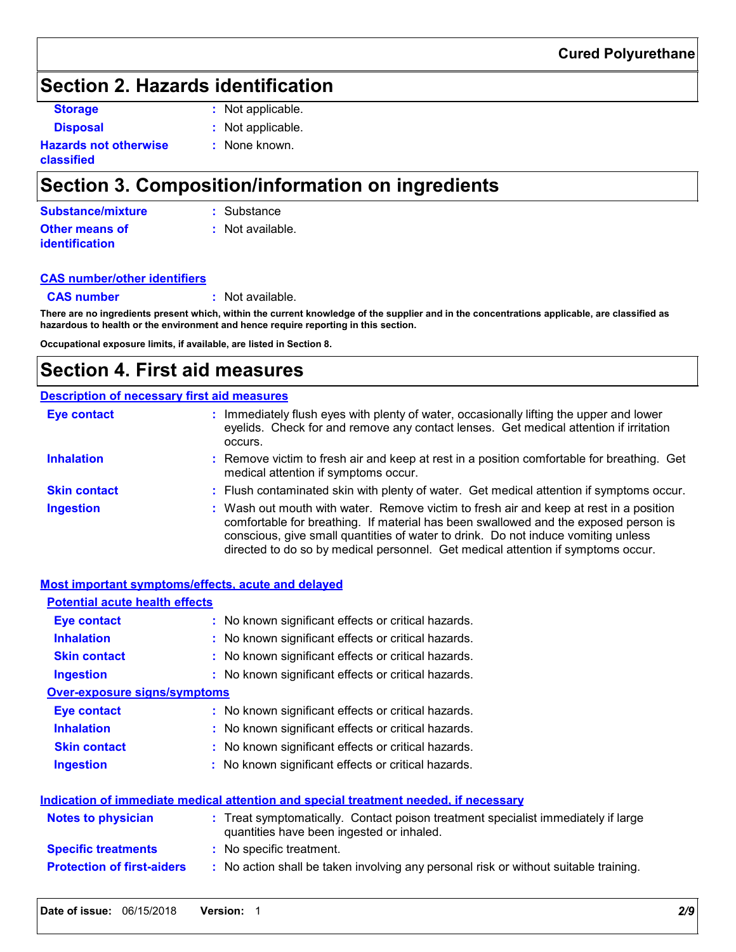## **Section 2. Hazards identification**

**Storage :** Not applicable.

**Disposal :** Not applicable. **:** None known.

**Hazards not otherwise classified**

# **Section 3. Composition/information on ingredients**

| Substance/mixture     | : Substance        |
|-----------------------|--------------------|
| <b>Other means of</b> | $:$ Not available. |
| <b>identification</b> |                    |

#### **CAS number/other identifiers**

**CAS number :** Not available.

**There are no ingredients present which, within the current knowledge of the supplier and in the concentrations applicable, are classified as hazardous to health or the environment and hence require reporting in this section.**

**Occupational exposure limits, if available, are listed in Section 8.**

## **Section 4. First aid measures**

### **Description of necessary first aid measures**

| <b>Eye contact</b>  | : Immediately flush eyes with plenty of water, occasionally lifting the upper and lower<br>eyelids. Check for and remove any contact lenses. Get medical attention if irritation<br>occurs.                                                                                                                                                            |
|---------------------|--------------------------------------------------------------------------------------------------------------------------------------------------------------------------------------------------------------------------------------------------------------------------------------------------------------------------------------------------------|
| <b>Inhalation</b>   | : Remove victim to fresh air and keep at rest in a position comfortable for breathing. Get<br>medical attention if symptoms occur.                                                                                                                                                                                                                     |
| <b>Skin contact</b> | : Flush contaminated skin with plenty of water. Get medical attention if symptoms occur.                                                                                                                                                                                                                                                               |
| <b>Ingestion</b>    | : Wash out mouth with water. Remove victim to fresh air and keep at rest in a position<br>comfortable for breathing. If material has been swallowed and the exposed person is<br>conscious, give small quantities of water to drink. Do not induce vomiting unless<br>directed to do so by medical personnel. Get medical attention if symptoms occur. |

| Most important symptoms/effects, acute and delayed |                                                                                                                                |
|----------------------------------------------------|--------------------------------------------------------------------------------------------------------------------------------|
| <b>Potential acute health effects</b>              |                                                                                                                                |
| Eye contact                                        | : No known significant effects or critical hazards.                                                                            |
| <b>Inhalation</b>                                  | : No known significant effects or critical hazards.                                                                            |
| <b>Skin contact</b>                                | : No known significant effects or critical hazards.                                                                            |
| <b>Ingestion</b>                                   | : No known significant effects or critical hazards.                                                                            |
| <b>Over-exposure signs/symptoms</b>                |                                                                                                                                |
| Eye contact                                        | : No known significant effects or critical hazards.                                                                            |
| <b>Inhalation</b>                                  | : No known significant effects or critical hazards.                                                                            |
| <b>Skin contact</b>                                | : No known significant effects or critical hazards.                                                                            |
| <b>Ingestion</b>                                   | : No known significant effects or critical hazards.                                                                            |
|                                                    | Indication of immediate medical attention and special treatment needed, if necessary                                           |
| <b>Notes to physician</b>                          | : Treat symptomatically. Contact poison treatment specialist immediately if large<br>quantities have been ingested or inhaled. |
| <b>Specific treatments</b>                         | : No specific treatment.                                                                                                       |
| <b>Protection of first-aiders</b>                  | : No action shall be taken involving any personal risk or without suitable training.                                           |
|                                                    |                                                                                                                                |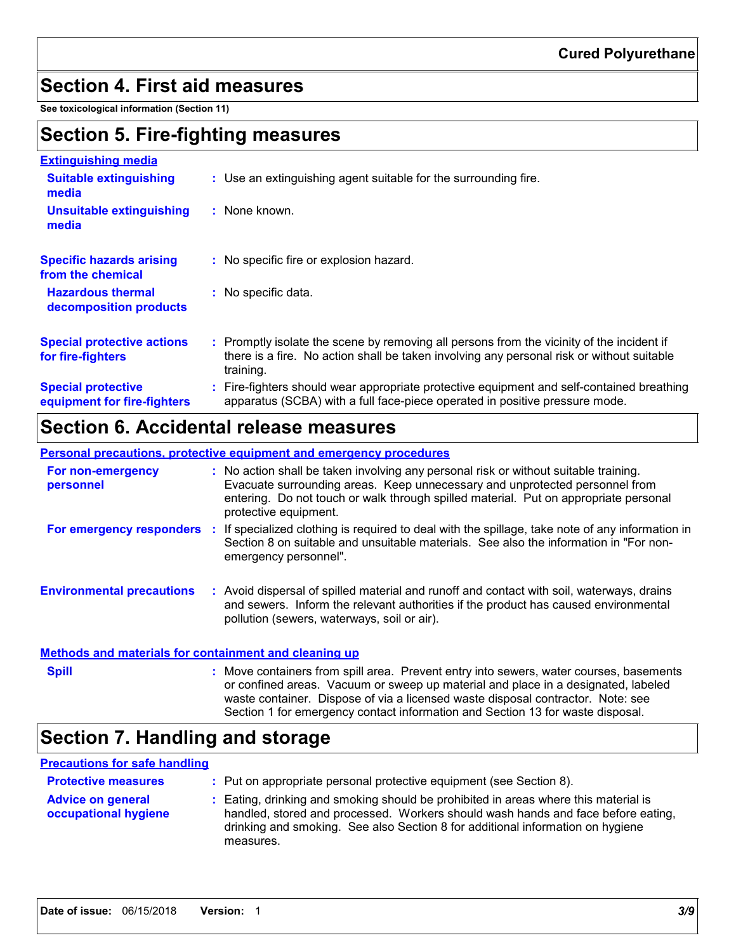## **Section 4. First aid measures**

**See toxicological information (Section 11)**

## **Section 5. Fire-fighting measures**

| <b>Extinguishing media</b>                               |                                                                                                                                                                                                     |
|----------------------------------------------------------|-----------------------------------------------------------------------------------------------------------------------------------------------------------------------------------------------------|
| <b>Suitable extinguishing</b><br>media                   | : Use an extinguishing agent suitable for the surrounding fire.                                                                                                                                     |
| <b>Unsuitable extinguishing</b><br>media                 | $:$ None known.                                                                                                                                                                                     |
| <b>Specific hazards arising</b><br>from the chemical     | : No specific fire or explosion hazard.                                                                                                                                                             |
| <b>Hazardous thermal</b><br>decomposition products       | : No specific data.                                                                                                                                                                                 |
| <b>Special protective actions</b><br>for fire-fighters   | : Promptly isolate the scene by removing all persons from the vicinity of the incident if<br>there is a fire. No action shall be taken involving any personal risk or without suitable<br>training. |
| <b>Special protective</b><br>equipment for fire-fighters | : Fire-fighters should wear appropriate protective equipment and self-contained breathing<br>apparatus (SCBA) with a full face-piece operated in positive pressure mode.                            |

## **Section 6. Accidental release measures**

#### **Personal precautions, protective equipment and emergency procedures**

| For non-emergency<br>personnel                        | protective equipment.                       | : No action shall be taken involving any personal risk or without suitable training.<br>Evacuate surrounding areas. Keep unnecessary and unprotected personnel from<br>entering. Do not touch or walk through spilled material. Put on appropriate personal |
|-------------------------------------------------------|---------------------------------------------|-------------------------------------------------------------------------------------------------------------------------------------------------------------------------------------------------------------------------------------------------------------|
| For emergency responders                              | emergency personnel".                       | If specialized clothing is required to deal with the spillage, take note of any information in<br>Section 8 on suitable and unsuitable materials. See also the information in "For non-                                                                     |
| <b>Environmental precautions</b>                      | pollution (sewers, waterways, soil or air). | : Avoid dispersal of spilled material and runoff and contact with soil, waterways, drains<br>and sewers. Inform the relevant authorities if the product has caused environmental                                                                            |
| Methods and materials for containment and cleaning up |                                             |                                                                                                                                                                                                                                                             |
| <b>Spill</b>                                          |                                             | : Move containers from spill area. Prevent entry into sewers, water courses, basements                                                                                                                                                                      |

Move containers from spill area. Prevent entry into sewers, water courses, basements or confined areas. Vacuum or sweep up material and place in a designated, labeled waste container. Dispose of via a licensed waste disposal contractor. Note: see Section 1 for emergency contact information and Section 13 for waste disposal. **Spill :**

# **Section 7. Handling and storage**

#### **Precautions for safe handling**

| <b>Protective measures</b>                       | : Put on appropriate personal protective equipment (see Section 8).                                                                                                                                                                                                    |
|--------------------------------------------------|------------------------------------------------------------------------------------------------------------------------------------------------------------------------------------------------------------------------------------------------------------------------|
| <b>Advice on general</b><br>occupational hygiene | : Eating, drinking and smoking should be prohibited in areas where this material is<br>handled, stored and processed. Workers should wash hands and face before eating,<br>drinking and smoking. See also Section 8 for additional information on hygiene<br>measures. |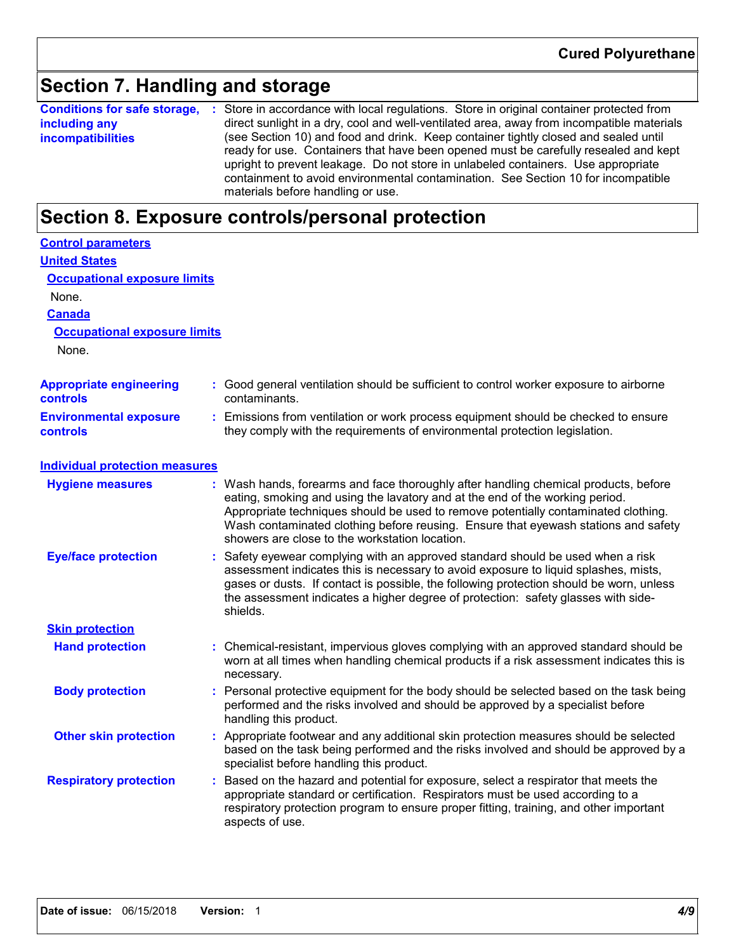## **Section 7. Handling and storage**

**Conditions for safe storage,** : Store in accordance with local regulations. Store in original container protected from **including any incompatibilities** direct sunlight in a dry, cool and well-ventilated area, away from incompatible materials (see Section 10) and food and drink. Keep container tightly closed and sealed until ready for use. Containers that have been opened must be carefully resealed and kept upright to prevent leakage. Do not store in unlabeled containers. Use appropriate containment to avoid environmental contamination. See Section 10 for incompatible materials before handling or use.

## **Section 8. Exposure controls/personal protection**

| <b>Control parameters</b>                         |  |                                                                                                                                                                                                                                                                                                                                                                                                 |  |
|---------------------------------------------------|--|-------------------------------------------------------------------------------------------------------------------------------------------------------------------------------------------------------------------------------------------------------------------------------------------------------------------------------------------------------------------------------------------------|--|
| <b>United States</b>                              |  |                                                                                                                                                                                                                                                                                                                                                                                                 |  |
| <b>Occupational exposure limits</b>               |  |                                                                                                                                                                                                                                                                                                                                                                                                 |  |
| None.                                             |  |                                                                                                                                                                                                                                                                                                                                                                                                 |  |
| <b>Canada</b>                                     |  |                                                                                                                                                                                                                                                                                                                                                                                                 |  |
| <b>Occupational exposure limits</b>               |  |                                                                                                                                                                                                                                                                                                                                                                                                 |  |
| None.                                             |  |                                                                                                                                                                                                                                                                                                                                                                                                 |  |
| <b>Appropriate engineering</b><br><b>controls</b> |  | : Good general ventilation should be sufficient to control worker exposure to airborne<br>contaminants.                                                                                                                                                                                                                                                                                         |  |
| <b>Environmental exposure</b><br>controls         |  | Emissions from ventilation or work process equipment should be checked to ensure<br>they comply with the requirements of environmental protection legislation.                                                                                                                                                                                                                                  |  |
| <b>Individual protection measures</b>             |  |                                                                                                                                                                                                                                                                                                                                                                                                 |  |
| <b>Hygiene measures</b>                           |  | Wash hands, forearms and face thoroughly after handling chemical products, before<br>eating, smoking and using the lavatory and at the end of the working period.<br>Appropriate techniques should be used to remove potentially contaminated clothing.<br>Wash contaminated clothing before reusing. Ensure that eyewash stations and safety<br>showers are close to the workstation location. |  |
| <b>Eye/face protection</b>                        |  | Safety eyewear complying with an approved standard should be used when a risk<br>assessment indicates this is necessary to avoid exposure to liquid splashes, mists,<br>gases or dusts. If contact is possible, the following protection should be worn, unless<br>the assessment indicates a higher degree of protection: safety glasses with side-<br>shields.                                |  |
| <b>Skin protection</b>                            |  |                                                                                                                                                                                                                                                                                                                                                                                                 |  |
| <b>Hand protection</b>                            |  | Chemical-resistant, impervious gloves complying with an approved standard should be<br>worn at all times when handling chemical products if a risk assessment indicates this is<br>necessary.                                                                                                                                                                                                   |  |
| <b>Body protection</b>                            |  | Personal protective equipment for the body should be selected based on the task being<br>performed and the risks involved and should be approved by a specialist before<br>handling this product.                                                                                                                                                                                               |  |
| <b>Other skin protection</b>                      |  | Appropriate footwear and any additional skin protection measures should be selected<br>based on the task being performed and the risks involved and should be approved by a<br>specialist before handling this product.                                                                                                                                                                         |  |
| <b>Respiratory protection</b>                     |  | Based on the hazard and potential for exposure, select a respirator that meets the<br>appropriate standard or certification. Respirators must be used according to a<br>respiratory protection program to ensure proper fitting, training, and other important<br>aspects of use.                                                                                                               |  |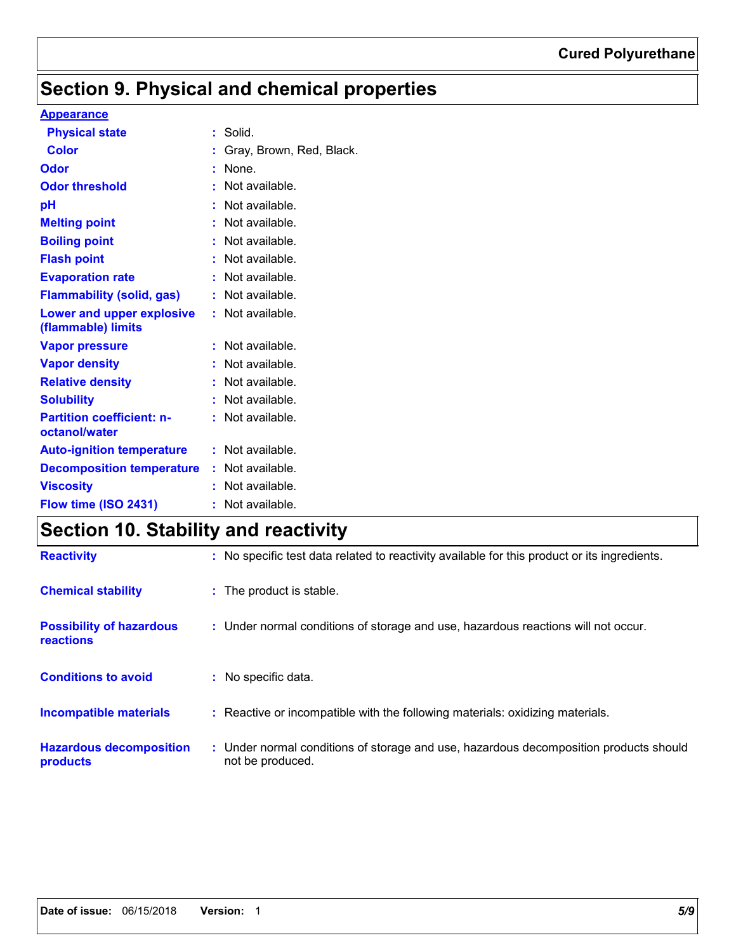# **Section 9. Physical and chemical properties**

## **Appearance**

| <b>Physical state</b>                             |    | Solid.                   |
|---------------------------------------------------|----|--------------------------|
| <b>Color</b>                                      |    | Gray, Brown, Red, Black. |
| Odor                                              | t  | None.                    |
| <b>Odor threshold</b>                             |    | Not available.           |
| рH                                                |    | Not available.           |
| <b>Melting point</b>                              |    | Not available.           |
| <b>Boiling point</b>                              |    | Not available.           |
| <b>Flash point</b>                                |    | Not available.           |
| <b>Evaporation rate</b>                           |    | Not available.           |
| <b>Flammability (solid, gas)</b>                  |    | Not available.           |
| Lower and upper explosive<br>(flammable) limits   | t. | Not available.           |
| <b>Vapor pressure</b>                             |    | Not available.           |
| <b>Vapor density</b>                              |    | Not available.           |
| <b>Relative density</b>                           |    | Not available.           |
| <b>Solubility</b>                                 | t  | Not available.           |
| <b>Partition coefficient: n-</b><br>octanol/water | t. | Not available.           |
| <b>Auto-ignition temperature</b>                  | t. | Not available.           |
| <b>Decomposition temperature</b>                  |    | : Not available.         |
|                                                   |    | Not available.           |
| <b>Viscosity</b>                                  |    |                          |
| Flow time (ISO 2431)                              | t  | Not available.           |

# **Section 10. Stability and reactivity**

| <b>Reactivity</b>                                   | : No specific test data related to reactivity available for this product or its ingredients.              |
|-----------------------------------------------------|-----------------------------------------------------------------------------------------------------------|
| <b>Chemical stability</b>                           | : The product is stable.                                                                                  |
| <b>Possibility of hazardous</b><br><b>reactions</b> | : Under normal conditions of storage and use, hazardous reactions will not occur.                         |
| <b>Conditions to avoid</b>                          | : No specific data.                                                                                       |
| <b>Incompatible materials</b>                       | : Reactive or incompatible with the following materials: oxidizing materials.                             |
| <b>Hazardous decomposition</b><br>products          | : Under normal conditions of storage and use, hazardous decomposition products should<br>not be produced. |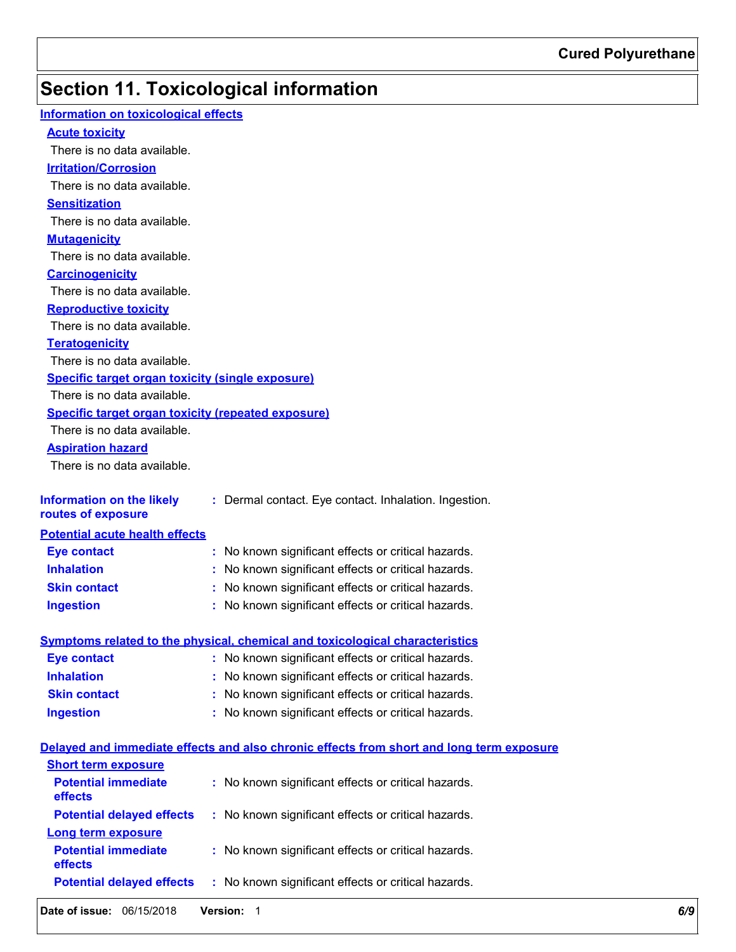# **Section 11. Toxicological information**

| Information on toxicological effects                      |                                                                                          |
|-----------------------------------------------------------|------------------------------------------------------------------------------------------|
| <b>Acute toxicity</b>                                     |                                                                                          |
| There is no data available.                               |                                                                                          |
| <b>Irritation/Corrosion</b>                               |                                                                                          |
| There is no data available.                               |                                                                                          |
| <b>Sensitization</b>                                      |                                                                                          |
| There is no data available.                               |                                                                                          |
| <b>Mutagenicity</b>                                       |                                                                                          |
| There is no data available.                               |                                                                                          |
| <b>Carcinogenicity</b>                                    |                                                                                          |
| There is no data available.                               |                                                                                          |
| <b>Reproductive toxicity</b>                              |                                                                                          |
| There is no data available.                               |                                                                                          |
| <b>Teratogenicity</b>                                     |                                                                                          |
| There is no data available.                               |                                                                                          |
| Specific target organ toxicity (single exposure)          |                                                                                          |
| There is no data available.                               |                                                                                          |
| <b>Specific target organ toxicity (repeated exposure)</b> |                                                                                          |
| There is no data available.                               |                                                                                          |
| <b>Aspiration hazard</b>                                  |                                                                                          |
| There is no data available.                               |                                                                                          |
|                                                           |                                                                                          |
| <b>Information on the likely</b>                          | : Dermal contact. Eye contact. Inhalation. Ingestion.                                    |
| routes of exposure                                        |                                                                                          |
| <b>Potential acute health effects</b>                     |                                                                                          |
| <b>Eye contact</b>                                        | : No known significant effects or critical hazards.                                      |
| <b>Inhalation</b>                                         | : No known significant effects or critical hazards.                                      |
| <b>Skin contact</b>                                       | : No known significant effects or critical hazards.                                      |
| <b>Ingestion</b>                                          | : No known significant effects or critical hazards.                                      |
|                                                           |                                                                                          |
|                                                           | Symptoms related to the physical, chemical and toxicological characteristics             |
| <b>Eye contact</b>                                        | : No known significant effects or critical hazards.                                      |
| <b>Inhalation</b>                                         | : No known significant effects or critical hazards.                                      |
| <b>Skin contact</b>                                       | : No known significant effects or critical hazards.                                      |
| <b>Ingestion</b>                                          | : No known significant effects or critical hazards.                                      |
|                                                           | Delayed and immediate effects and also chronic effects from short and long term exposure |
| <b>Short term exposure</b>                                |                                                                                          |
| <b>Potential immediate</b>                                | : No known significant effects or critical hazards.                                      |
| effects                                                   |                                                                                          |
| <b>Potential delayed effects</b>                          | : No known significant effects or critical hazards.                                      |
| <b>Long term exposure</b>                                 |                                                                                          |
| <b>Potential immediate</b>                                | : No known significant effects or critical hazards.                                      |
| effects                                                   |                                                                                          |
| <b>Potential delayed effects</b>                          | : No known significant effects or critical hazards.                                      |
|                                                           |                                                                                          |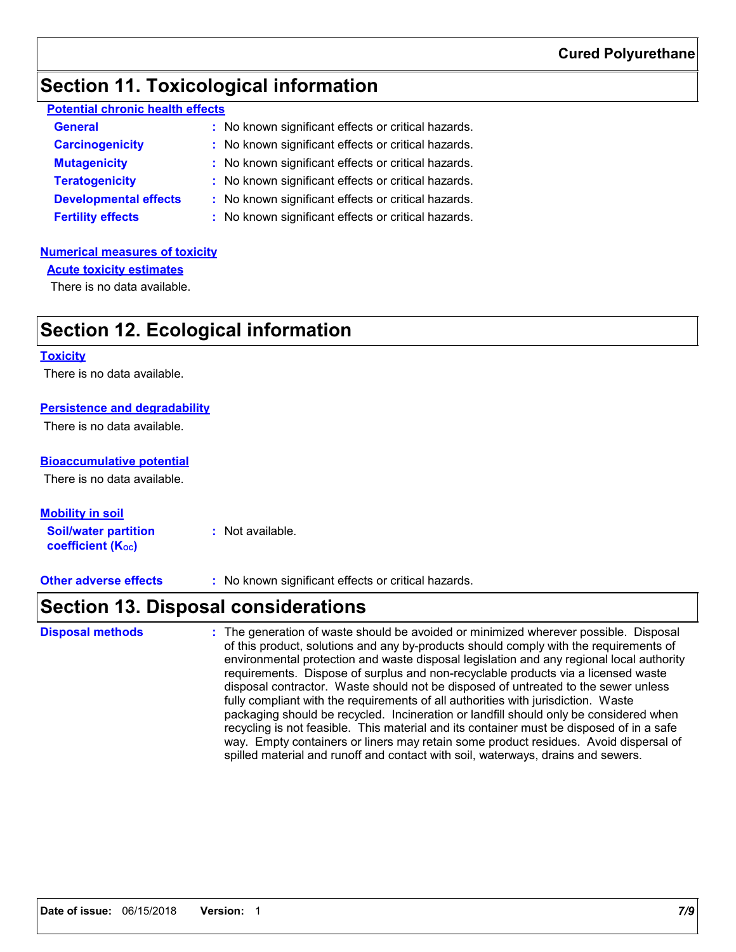# **Section 11. Toxicological information**

| <b>Potential chronic health effects</b> |                                                     |
|-----------------------------------------|-----------------------------------------------------|
| <b>General</b>                          | : No known significant effects or critical hazards. |
| <b>Carcinogenicity</b>                  | : No known significant effects or critical hazards. |
| <b>Mutagenicity</b>                     | : No known significant effects or critical hazards. |
| <b>Torotomonicity</b>                   | . No known ojanificant offecto or oritical hozardo  |

- **Teratogenicity :** No known significant effects or critical hazards.
- **Developmental effects :** No known significant effects or critical hazards.
- **Fertility effects :** No known significant effects or critical hazards.

## **Numerical measures of toxicity**

**Acute toxicity estimates**

There is no data available.

# **Section 12. Ecological information**

#### **Toxicity**

There is no data available.

### **Persistence and degradability**

There is no data available.

### **Bioaccumulative potential**

There is no data available.

### **Mobility in soil**

**Soil/water partition coefficient (K**<sup>oc</sup>) **:** Not available.

**Other adverse effects** : No known significant effects or critical hazards.

# **Section 13. Disposal considerations**

The generation of waste should be avoided or minimized wherever possible. Disposal of this product, solutions and any by-products should comply with the requirements of environmental protection and waste disposal legislation and any regional local authority requirements. Dispose of surplus and non-recyclable products via a licensed waste disposal contractor. Waste should not be disposed of untreated to the sewer unless fully compliant with the requirements of all authorities with jurisdiction. Waste packaging should be recycled. Incineration or landfill should only be considered when recycling is not feasible. This material and its container must be disposed of in a safe way. Empty containers or liners may retain some product residues. Avoid dispersal of spilled material and runoff and contact with soil, waterways, drains and sewers. **Disposal methods :**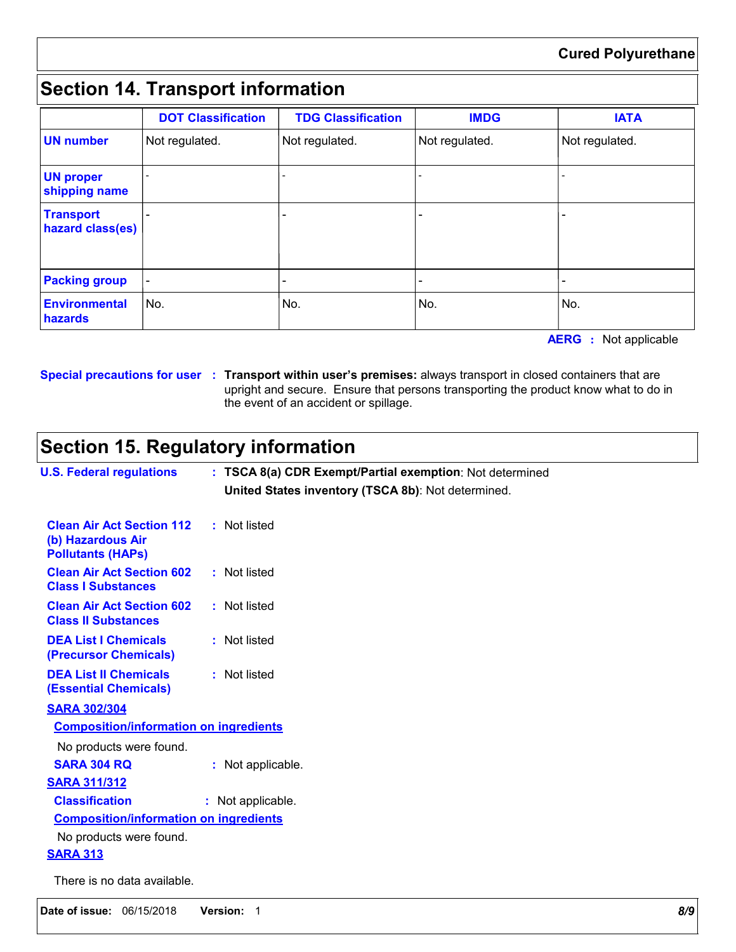# **Section 14. Transport information**

|                                      | <b>DOT Classification</b> | <b>TDG Classification</b> | <b>IMDG</b>    | <b>IATA</b>    |
|--------------------------------------|---------------------------|---------------------------|----------------|----------------|
| <b>UN number</b>                     | Not regulated.            | Not regulated.            | Not regulated. | Not regulated. |
| <b>UN proper</b><br>shipping name    |                           |                           |                |                |
| <b>Transport</b><br>hazard class(es) |                           | -                         |                |                |
| <b>Packing group</b>                 | $\blacksquare$            | $\overline{\phantom{0}}$  |                |                |
| <b>Environmental</b><br>hazards      | No.                       | No.                       | No.            | No.            |

**AERG :** Not applicable

**Special precautions for user Transport within user's premises:** always transport in closed containers that are **:** upright and secure. Ensure that persons transporting the product know what to do in the event of an accident or spillage.

# **Section 15. Regulatory information**

| <b>U.S. Federal regulations</b>                                                   | : TSCA 8(a) CDR Exempt/Partial exemption: Not determined<br>United States inventory (TSCA 8b): Not determined. |
|-----------------------------------------------------------------------------------|----------------------------------------------------------------------------------------------------------------|
| <b>Clean Air Act Section 112</b><br>(b) Hazardous Air<br><b>Pollutants (HAPs)</b> | : Not listed                                                                                                   |
| <b>Clean Air Act Section 602</b><br><b>Class I Substances</b>                     | : Not listed                                                                                                   |
| <b>Clean Air Act Section 602</b><br><b>Class II Substances</b>                    | : Not listed                                                                                                   |
| <b>DEA List I Chemicals</b><br>(Precursor Chemicals)                              | : Not listed                                                                                                   |
| <b>DEA List II Chemicals</b><br><b>(Essential Chemicals)</b>                      | : Not listed                                                                                                   |
| <b>SARA 302/304</b>                                                               |                                                                                                                |
| <b>Composition/information on ingredients</b>                                     |                                                                                                                |
| No products were found.                                                           |                                                                                                                |
| <b>SARA 304 RQ</b>                                                                | : Not applicable.                                                                                              |
| <b>SARA 311/312</b>                                                               |                                                                                                                |
| <b>Classification</b>                                                             | : Not applicable.                                                                                              |
| <b>Composition/information on ingredients</b>                                     |                                                                                                                |
| No products were found.                                                           |                                                                                                                |
| <b>SARA 313</b>                                                                   |                                                                                                                |
| There is no data available.                                                       |                                                                                                                |